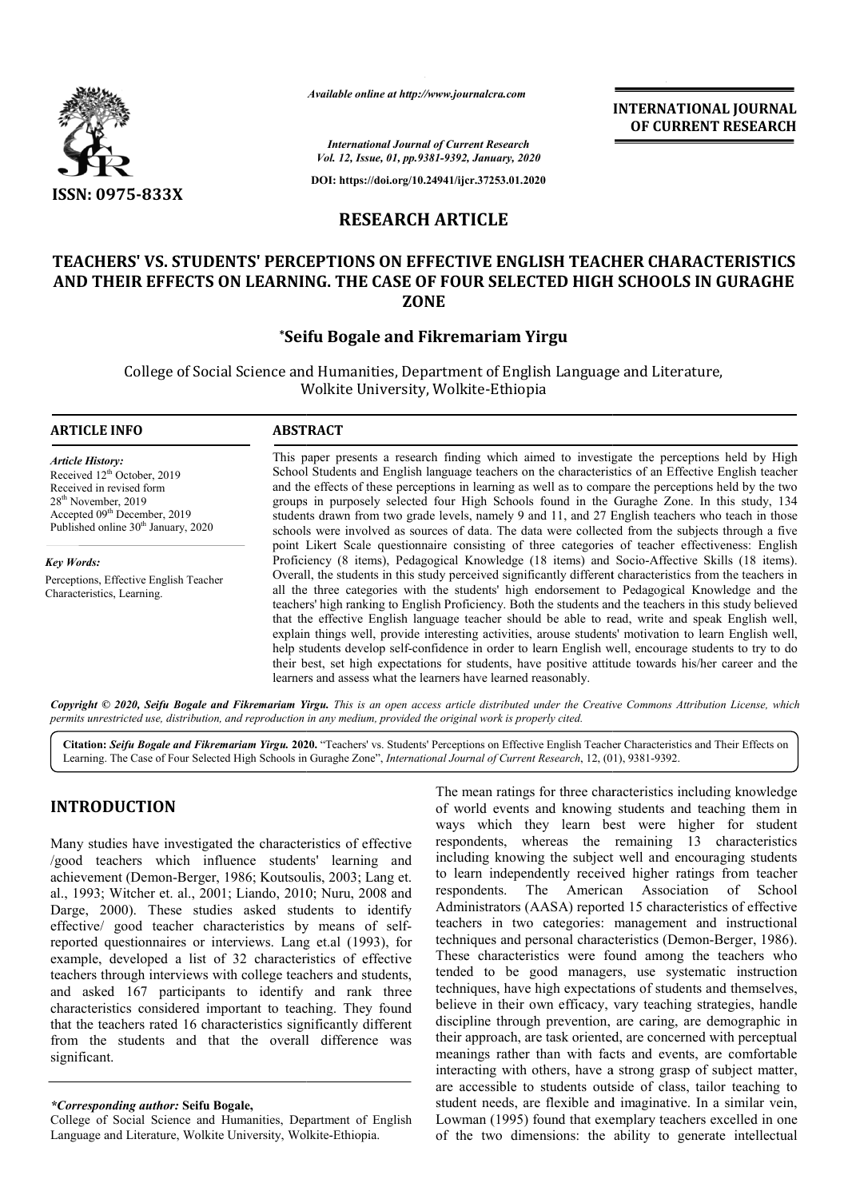

*Available online at http://www.journalcra.com*

**INTERNATIONAL JOURNAL OF CURRENT RESEARCH**

*International Journal of Current Research Vol. 12, Issue, 01, pp.9381-9392, January, 2020*

**DOI: https://doi.org/10.24941/ijcr.37253.01.2020**

## **RESEARCH ARTICLE**

## **TEACHERS' VS. STUDENTS' PERCEPTIONS ON EFFECTIVE ENGLISH TEACHER CHARACTERISTICS AND THEIR EFFECTS ON LEARNING. THE CASE OF FOUR SELECTED HIGH SCHOOLS IN GURAGHE ZONE**

## **\*Seifu Bogale and Fikremariam Yirgu Seifu**

College of Social Science and Humanities, Department of English Language and Literature, College Wolkite University, Wolkite Wolkite-Ethiopia

#### **ARTICLE INFO ABSTRACT** This paper presents a research finding which aimed to investigate the perceptions held by High School Students and English language teachers on the characteristics of an Effective English teacher and the effects of these perceptions in learning as well as to compare the perceptions held by the two groups in purposely selected four High Schools found in the Guraghe Zone. In this study, 134 students drawn from two grade levels, namely 9 and 11, and 27 English teachers who teach in those schools were involved as sources of data. The data were collected from the subjects through a five point Likert Scale questionnaire consisting of three categories of teacher effectiveness: English point Likert Scale questionnaire consisting of three categories of teacher effectiveness: English Proficiency (8 items), Pedagogical Knowledge (18 items) and Socio-Affective Skills (18 items). Overall, the students in this study perceived significantly different characteristics from the teachers in all the three categories with the students' high endorsement to Pedagogical Knowledge and the teachers' high ranking to English Proficiency. Both the students and the teachers in this s that the effective English language teacher should be able to read, write and speak English well, explain things well, provide interesting activities, arouse students' motivation to learn English well, *Article History:* Received 12<sup>th</sup> October, 2019 Received in revised form 28th November, 2019 Accepted 09<sup>th</sup> December, 2019 Published online 30<sup>th</sup> January, 2020 *Key Words:* Perceptions, Effective English Teacher Characteristics, Learning. This paper presents a research finding which aimed to investigate the perceptions held by High School Students and English language teachers on the characteristics of an Effective English teacher and the effects of these p Overall, the students in this study perceived significantly different characteristics from the teachers in all the three categories with the students' high endorsement to Pedagogical Knowledge and the teachers' high rankin that the effective English language teacher should be able to read, write and speak English well, explain things well, provide interesting activities, arouse students' motivation to learn English well, help students develo

Copyright © 2020, Seifu Bogale and Fikremariam Yirgu. This is an open access article distributed under the Creative Commons Attribution License, which permits unrestricted use, distribution, and reproduction in any medium, provided the original work is properly cited.

learners and assess what the learners have learned reasonably.

help students develop self-confidence in order to learn English well, encourage students to try to do their best, set high expectations for students, have positive attitude towards his/her career and the

Citation: Seifu Bogale and Fikremariam Yirgu. 2020. "Teachers' vs. Students' Perceptions on Effective English Teacher Characteristics and Their Effects on Citation: Seifu Bogale and Fikremariam Yirgu. 2020. "Teachers' vs. Students' Perceptions on Effective English Teacher Characterist<br>Learning. The Case of Four Selected High Schools in Guraghe Zone", *International Journal o* 

# **INTRODUCTION**

Many studies have investigated the characteristics of effective /good teachers which influence students' learning and achievement (Demon-Berger, 1986; Koutsoulis, 2003; Lang et. al., 1993; Witcher et. al., 2001; Liando, 2010; Nuru, 2008 and Darge, 2000). These studies asked students to identify effective/ good teacher characteristics by means of selfreported questionnaires or interviews. Lang et.al (1993), for example, developed a list of 32 characteristics of effective teachers through interviews with college teachers and students, and asked 167 participants to identify and rank three characteristics considered important to teaching. They found that the teachers rated 16 characteristics significantly different from the students and that the overall difference was significant.

The mean ratings for three characteristics including knowledge of world events and knowing students and teaching them in ways which they learn best were higher for student The mean ratings for three characteristics including knowledge<br>of world events and knowing students and teaching them in<br>ways which they learn best were higher for student<br>respondents, whereas the remaining 13 characterist including knowing the subject well and encouraging students to learn independently received higher ratings from teacher respondents. The American Association of School Administrators (AASA) reported 15 characteristics of effective teachers in two categories: management and instructional techniques and personal characteristics (Demon-Berger, 1986). These characteristics were found among the teachers who tended to be good managers, use systematic instruction techniques, have high expectations of students and themselves, believe in their own efficacy, vary teaching strategies, handle discipline through prevention, are caring, are demographic in their approach, are task oriented, are concerned with perceptual meanings rather than with facts and events, are comfortable interacting with others, have a strong grasp of subject matter, are accessible to students outside of class, tailor teaching to student needs, are flexible and imaginative. In a similar vein, Lowman (1995) found that exemplary teachers excelled in one of the two dimensions: the ability to generate intellectual mowing the subject well and encouraging students<br>dependently received higher ratings from teacher<br>s. The American Association of School<br>tors (AASA) reported 15 characteristics of effective<br>i two categories: management and ive in their own efficacy, vary teaching strategies, handle pline through prevention, are caring, are demographic in approach, are task oriented, are concerned with perceptual ings rather than with facts and events, are co others, have a strong grasp of subject matter,<br>to students outside of class, tailor teaching to<br>re flexible and imaginative. In a similar vein,<br>found that exemplary teachers excelled in one INTERNATIONAL JOURNAL<br>
Research<br>
OF CURRENT RESEARCH<br>
OF CURRENT RESEARCH<br>
OF CURRENT RESEARCH<br>
The mainlar of the state of the state of the state of the state of the<br>
TES CRECTED HIGH SCHOOLS IN GURAGHE<br>
TRIM TIGHT CALISH

*<sup>\*</sup>Corresponding author:* **Seifu Bogale,**

College of Social Science and Humanities, Department of English Language and Literature, Wolkite University, Wolkite-Ethiopia.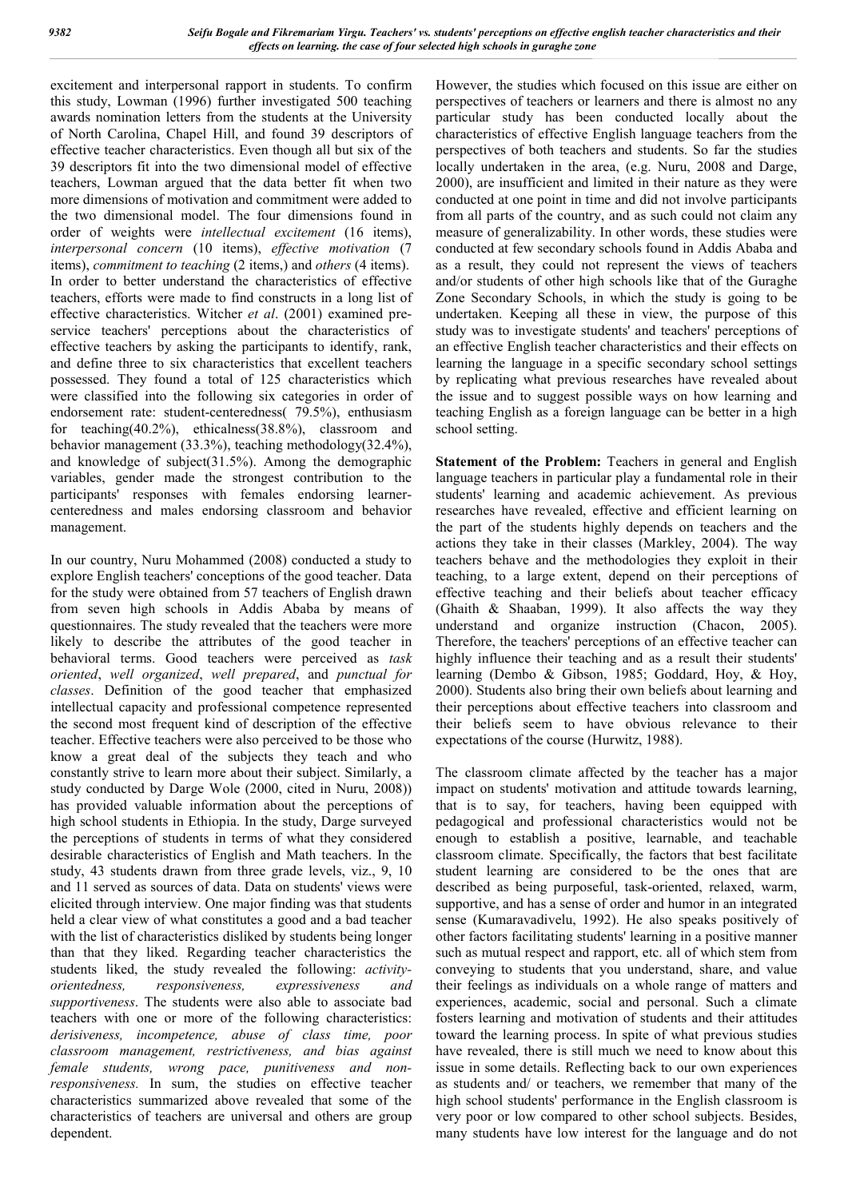excitement and interpersonal rapport in students. To confirm this study, Lowman (1996) further investigated 500 teaching awards nomination letters from the students at the University of North Carolina, Chapel Hill, and found 39 descriptors of effective teacher characteristics. Even though all but six of the 39 descriptors fit into the two dimensional model of effective teachers, Lowman argued that the data better fit when two more dimensions of motivation and commitment were added to the two dimensional model. The four dimensions found in order of weights were *intellectual excitement* (16 items), *interpersonal concern* (10 items), *effective motivation* (7 items), *commitment to teaching* (2 items,) and *others* (4 items). In order to better understand the characteristics of effective teachers, efforts were made to find constructs in a long list of effective characteristics. Witcher *et al*. (2001) examined preservice teachers' perceptions about the characteristics of effective teachers by asking the participants to identify, rank, and define three to six characteristics that excellent teachers possessed. They found a total of 125 characteristics which were classified into the following six categories in order of endorsement rate: student-centeredness( 79.5%), enthusiasm for teaching(40.2%), ethicalness(38.8%), classroom and behavior management (33.3%), teaching methodology(32.4%), and knowledge of subject(31.5%). Among the demographic variables, gender made the strongest contribution to the participants' responses with females endorsing learnercenteredness and males endorsing classroom and behavior management.

In our country, Nuru Mohammed (2008) conducted a study to explore English teachers' conceptions of the good teacher. Data for the study were obtained from 57 teachers of English drawn from seven high schools in Addis Ababa by means of questionnaires. The study revealed that the teachers were more likely to describe the attributes of the good teacher in behavioral terms. Good teachers were perceived as *task oriented*, *well organized*, *well prepared*, and *punctual for classes*. Definition of the good teacher that emphasized intellectual capacity and professional competence represented the second most frequent kind of description of the effective teacher. Effective teachers were also perceived to be those who know a great deal of the subjects they teach and who constantly strive to learn more about their subject. Similarly, a study conducted by Darge Wole (2000, cited in Nuru, 2008)) has provided valuable information about the perceptions of high school students in Ethiopia. In the study, Darge surveyed the perceptions of students in terms of what they considered desirable characteristics of English and Math teachers. In the study, 43 students drawn from three grade levels, viz., 9, 10 and 11 served as sources of data. Data on students' views were elicited through interview. One major finding was that students held a clear view of what constitutes a good and a bad teacher with the list of characteristics disliked by students being longer than that they liked. Regarding teacher characteristics the students liked, the study revealed the following: *activityorientedness, responsiveness, expressiveness and supportiveness*. The students were also able to associate bad teachers with one or more of the following characteristics: *derisiveness, incompetence, abuse of class time, poor classroom management, restrictiveness, and bias against female students, wrong pace, punitiveness and nonresponsiveness.* In sum, the studies on effective teacher characteristics summarized above revealed that some of the characteristics of teachers are universal and others are group dependent.

However, the studies which focused on this issue are either on perspectives of teachers or learners and there is almost no any particular study has been conducted locally about the characteristics of effective English language teachers from the perspectives of both teachers and students. So far the studies locally undertaken in the area, (e.g. Nuru, 2008 and Darge, 2000), are insufficient and limited in their nature as they were conducted at one point in time and did not involve participants from all parts of the country, and as such could not claim any measure of generalizability. In other words, these studies were conducted at few secondary schools found in Addis Ababa and as a result, they could not represent the views of teachers and/or students of other high schools like that of the Guraghe Zone Secondary Schools, in which the study is going to be undertaken. Keeping all these in view, the purpose of this study was to investigate students' and teachers' perceptions of an effective English teacher characteristics and their effects on learning the language in a specific secondary school settings by replicating what previous researches have revealed about the issue and to suggest possible ways on how learning and teaching English as a foreign language can be better in a high school setting.

**Statement of the Problem:** Teachers in general and English language teachers in particular play a fundamental role in their students' learning and academic achievement. As previous researches have revealed, effective and efficient learning on the part of the students highly depends on teachers and the actions they take in their classes (Markley, 2004). The way teachers behave and the methodologies they exploit in their teaching, to a large extent, depend on their perceptions of effective teaching and their beliefs about teacher efficacy (Ghaith & Shaaban, 1999). It also affects the way they understand and organize instruction (Chacon, 2005). Therefore, the teachers' perceptions of an effective teacher can highly influence their teaching and as a result their students' learning (Dembo & Gibson, 1985; Goddard, Hoy, & Hoy, 2000). Students also bring their own beliefs about learning and their perceptions about effective teachers into classroom and their beliefs seem to have obvious relevance to their expectations of the course (Hurwitz, 1988).

The classroom climate affected by the teacher has a major impact on students' motivation and attitude towards learning, that is to say, for teachers, having been equipped with pedagogical and professional characteristics would not be enough to establish a positive, learnable, and teachable classroom climate. Specifically, the factors that best facilitate student learning are considered to be the ones that are described as being purposeful, task-oriented, relaxed, warm, supportive, and has a sense of order and humor in an integrated sense (Kumaravadivelu, 1992). He also speaks positively of other factors facilitating students' learning in a positive manner such as mutual respect and rapport, etc. all of which stem from conveying to students that you understand, share, and value their feelings as individuals on a whole range of matters and experiences, academic, social and personal. Such a climate fosters learning and motivation of students and their attitudes toward the learning process. In spite of what previous studies have revealed, there is still much we need to know about this issue in some details. Reflecting back to our own experiences as students and/ or teachers, we remember that many of the high school students' performance in the English classroom is very poor or low compared to other school subjects. Besides, many students have low interest for the language and do not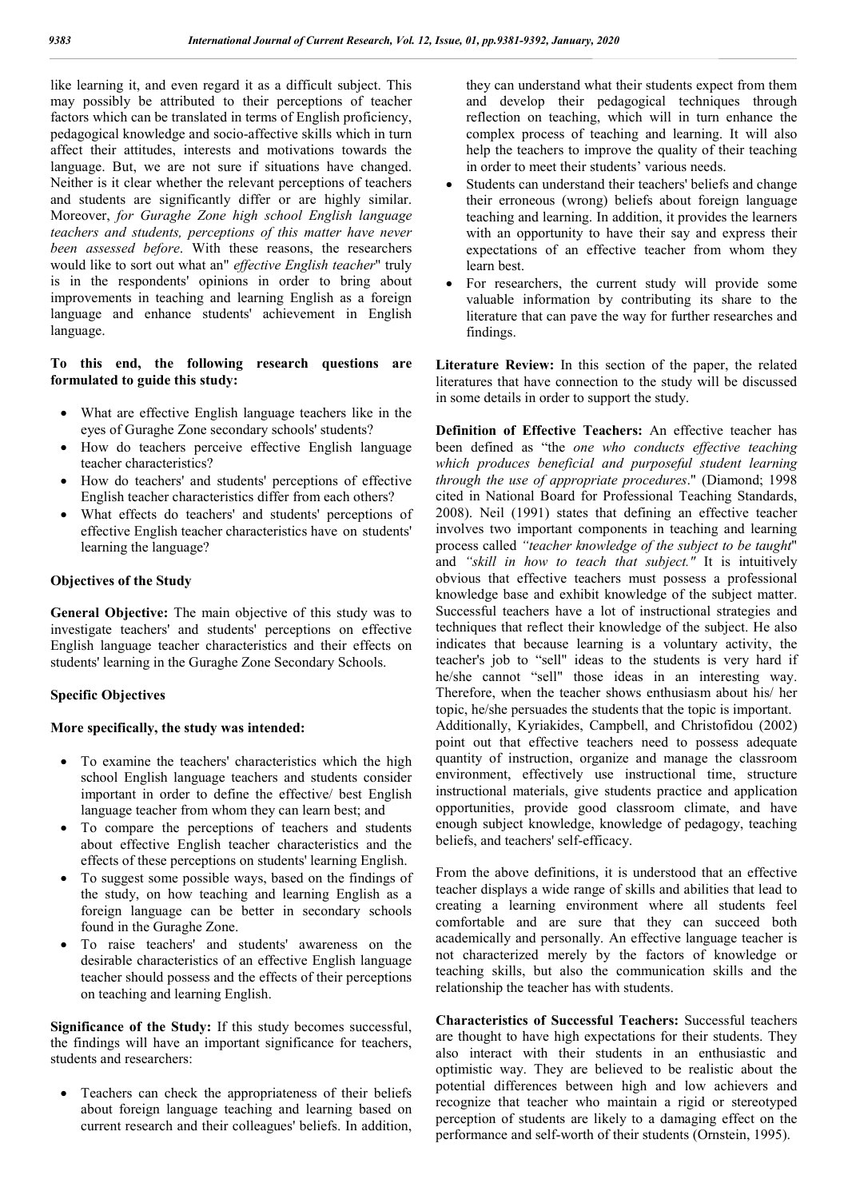like learning it, and even regard it as a difficult subject. This may possibly be attributed to their perceptions of teacher factors which can be translated in terms of English proficiency, pedagogical knowledge and socio-affective skills which in turn affect their attitudes, interests and motivations towards the language. But, we are not sure if situations have changed. Neither is it clear whether the relevant perceptions of teachers and students are significantly differ or are highly similar. Moreover, *for Guraghe Zone high school English language teachers and students, perceptions of this matter have never been assessed before*. With these reasons, the researchers would like to sort out what an" *effective English teacher*" truly is in the respondents' opinions in order to bring about improvements in teaching and learning English as a foreign language and enhance students' achievement in English language.

#### **To this end, the following research questions are formulated to guide this study:**

- What are effective English language teachers like in the eyes of Guraghe Zone secondary schools' students?
- How do teachers perceive effective English language teacher characteristics?
- How do teachers' and students' perceptions of effective English teacher characteristics differ from each others?
- What effects do teachers' and students' perceptions of effective English teacher characteristics have on students' learning the language?

#### **Objectives of the Study**

**General Objective:** The main objective of this study was to investigate teachers' and students' perceptions on effective English language teacher characteristics and their effects on students' learning in the Guraghe Zone Secondary Schools.

#### **Specific Objectives**

#### **More specifically, the study was intended:**

- To examine the teachers' characteristics which the high school English language teachers and students consider important in order to define the effective/ best English language teacher from whom they can learn best; and
- To compare the perceptions of teachers and students about effective English teacher characteristics and the effects of these perceptions on students' learning English.
- To suggest some possible ways, based on the findings of the study, on how teaching and learning English as a foreign language can be better in secondary schools found in the Guraghe Zone.
- To raise teachers' and students' awareness on the desirable characteristics of an effective English language teacher should possess and the effects of their perceptions on teaching and learning English.

**Significance of the Study:** If this study becomes successful, the findings will have an important significance for teachers, students and researchers:

 Teachers can check the appropriateness of their beliefs about foreign language teaching and learning based on current research and their colleagues' beliefs. In addition,

they can understand what their students expect from them and develop their pedagogical techniques through reflection on teaching, which will in turn enhance the complex process of teaching and learning. It will also help the teachers to improve the quality of their teaching in order to meet their students' various needs.

- Students can understand their teachers' beliefs and change their erroneous (wrong) beliefs about foreign language teaching and learning. In addition, it provides the learners with an opportunity to have their say and express their expectations of an effective teacher from whom they learn best.
- For researchers, the current study will provide some valuable information by contributing its share to the literature that can pave the way for further researches and findings.

**Literature Review:** In this section of the paper, the related literatures that have connection to the study will be discussed in some details in order to support the study.

**Definition of Effective Teachers:** An effective teacher has been defined as "the *one who conducts effective teaching which produces beneficial and purposeful student learning through the use of appropriate procedures*." (Diamond; 1998 cited in National Board for Professional Teaching Standards, 2008). Neil (1991) states that defining an effective teacher involves two important components in teaching and learning process called *"teacher knowledge of the subject to be taught*" and *"skill in how to teach that subject."* It is intuitively obvious that effective teachers must possess a professional knowledge base and exhibit knowledge of the subject matter. Successful teachers have a lot of instructional strategies and techniques that reflect their knowledge of the subject. He also indicates that because learning is a voluntary activity, the teacher's job to "sell" ideas to the students is very hard if he/she cannot "sell" those ideas in an interesting way. Therefore, when the teacher shows enthusiasm about his/ her topic, he/she persuades the students that the topic is important. Additionally, Kyriakides, Campbell, and Christofidou (2002) point out that effective teachers need to possess adequate quantity of instruction, organize and manage the classroom environment, effectively use instructional time, structure instructional materials, give students practice and application opportunities, provide good classroom climate, and have enough subject knowledge, knowledge of pedagogy, teaching beliefs, and teachers' self-efficacy.

From the above definitions, it is understood that an effective teacher displays a wide range of skills and abilities that lead to creating a learning environment where all students feel comfortable and are sure that they can succeed both academically and personally. An effective language teacher is not characterized merely by the factors of knowledge or teaching skills, but also the communication skills and the relationship the teacher has with students.

**Characteristics of Successful Teachers:** Successful teachers are thought to have high expectations for their students. They also interact with their students in an enthusiastic and optimistic way. They are believed to be realistic about the potential differences between high and low achievers and recognize that teacher who maintain a rigid or stereotyped perception of students are likely to a damaging effect on the performance and self-worth of their students (Ornstein, 1995).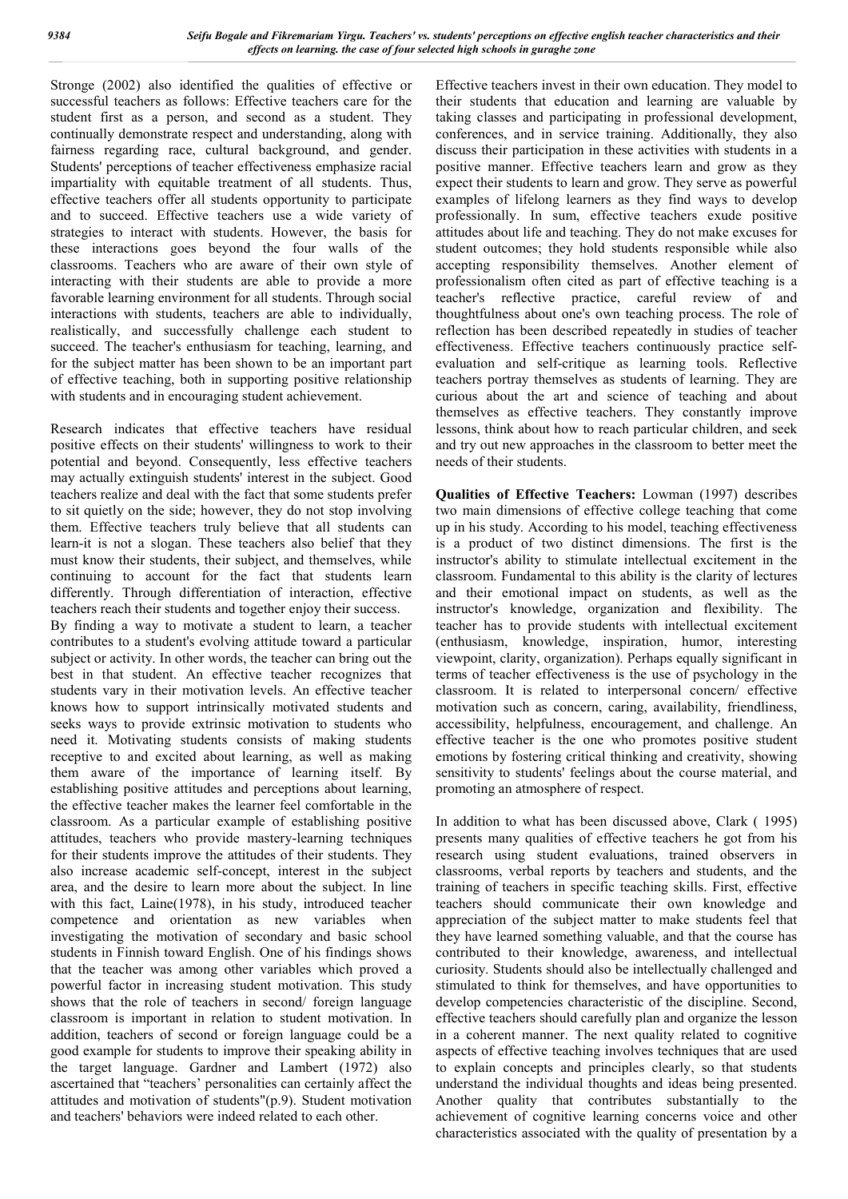Stronge (2002) also identified the qualities of effective or successful teachers as follows: Effective teachers care for the student first as a person, and second as a student. They continually demonstrate respect and understanding, along with fairness regarding race, cultural background, and gender. Students' perceptions of teacher effectiveness emphasize racial impartiality with equitable treatment of all students. Thus, effective teachers offer all students opportunity to participate and to succeed. Effective teachers use a wide variety of strategies to interact with students. However, the basis for these interactions goes beyond the four walls of the classrooms. Teachers who are aware of their own style of interacting with their students are able to provide a more favorable learning environment for all students. Through social interactions with students, teachers are able to individually, realistically, and successfully challenge each student to succeed. The teacher's enthusiasm for teaching, learning, and for the subject matter has been shown to be an important part of effective teaching, both in supporting positive relationship with students and in encouraging student achievement.

Research indicates that effective teachers have residual positive effects on their students' willingness to work to their potential and beyond. Consequently, less effective teachers may actually extinguish students' interest in the subject. Good teachers realize and deal with the fact that some students prefer to sit quietly on the side; however, they do not stop involving them. Effective teachers truly believe that all students can learn-it is not a slogan. These teachers also belief that they must know their students, their subject, and themselves, while continuing to account for the fact that students learn differently. Through differentiation of interaction, effective teachers reach their students and together enjoy their success. By finding a way to motivate a student to learn, a teacher contributes to a student's evolving attitude toward a particular subject or activity. In other words, the teacher can bring out the best in that student. An effective teacher recognizes that students vary in their motivation levels. An effective teacher knows how to support intrinsically motivated students and seeks ways to provide extrinsic motivation to students who need it. Motivating students consists of making students receptive to and excited about learning, as well as making them aware of the importance of learning itself. By establishing positive attitudes and perceptions about learning, the effective teacher makes the learner feel comfortable in the classroom. As a particular example of establishing positive attitudes, teachers who provide mastery-learning techniques for their students improve the attitudes of their students. They also increase academic self-concept, interest in the subject area, and the desire to learn more about the subject. In line with this fact, Laine(1978), in his study, introduced teacher competence and orientation as new variables when investigating the motivation of secondary and basic school students in Finnish toward English. One of his findings shows that the teacher was among other variables which proved a powerful factor in increasing student motivation. This study shows that the role of teachers in second/ foreign language classroom is important in relation to student motivation. In addition, teachers of second or foreign language could be a good example for students to improve their speaking ability in the target language. Gardner and Lambert (1972) also ascertained that "teachers' personalities can certainly affect the attitudes and motivation of students"(p.9). Student motivation and teachers' behaviors were indeed related to each other.

Effective teachers invest in their own education. They model to their students that education and learning are valuable by taking classes and participating in professional development, conferences, and in service training. Additionally, they also discuss their participation in these activities with students in a positive manner. Effective teachers learn and grow as they expect their students to learn and grow. They serve as powerful examples of lifelong learners as they find ways to develop professionally. In sum, effective teachers exude positive attitudes about life and teaching. They do not make excuses for student outcomes; they hold students responsible while also accepting responsibility themselves. Another element of professionalism often cited as part of effective teaching is a teacher's reflective practice, careful review of and thoughtfulness about one's own teaching process. The role of reflection has been described repeatedly in studies of teacher effectiveness. Effective teachers continuously practice selfevaluation and self-critique as learning tools. Reflective teachers portray themselves as students of learning. They are curious about the art and science of teaching and about themselves as effective teachers. They constantly improve lessons, think about how to reach particular children, and seek and try out new approaches in the classroom to better meet the needs of their students.

**Qualities of Effective Teachers:** Lowman (1997) describes two main dimensions of effective college teaching that come up in his study. According to his model, teaching effectiveness is a product of two distinct dimensions. The first is the instructor's ability to stimulate intellectual excitement in the classroom. Fundamental to this ability is the clarity of lectures and their emotional impact on students, as well as the instructor's knowledge, organization and flexibility. The teacher has to provide students with intellectual excitement (enthusiasm, knowledge, inspiration, humor, interesting viewpoint, clarity, organization). Perhaps equally significant in terms of teacher effectiveness is the use of psychology in the classroom. It is related to interpersonal concern/ effective motivation such as concern, caring, availability, friendliness, accessibility, helpfulness, encouragement, and challenge. An effective teacher is the one who promotes positive student emotions by fostering critical thinking and creativity, showing sensitivity to students' feelings about the course material, and promoting an atmosphere of respect.

In addition to what has been discussed above, Clark ( 1995) presents many qualities of effective teachers he got from his research using student evaluations, trained observers in classrooms, verbal reports by teachers and students, and the training of teachers in specific teaching skills. First, effective teachers should communicate their own knowledge and appreciation of the subject matter to make students feel that they have learned something valuable, and that the course has contributed to their knowledge, awareness, and intellectual curiosity. Students should also be intellectually challenged and stimulated to think for themselves, and have opportunities to develop competencies characteristic of the discipline. Second, effective teachers should carefully plan and organize the lesson in a coherent manner. The next quality related to cognitive aspects of effective teaching involves techniques that are used to explain concepts and principles clearly, so that students understand the individual thoughts and ideas being presented. Another quality that contributes substantially to the achievement of cognitive learning concerns voice and other characteristics associated with the quality of presentation by a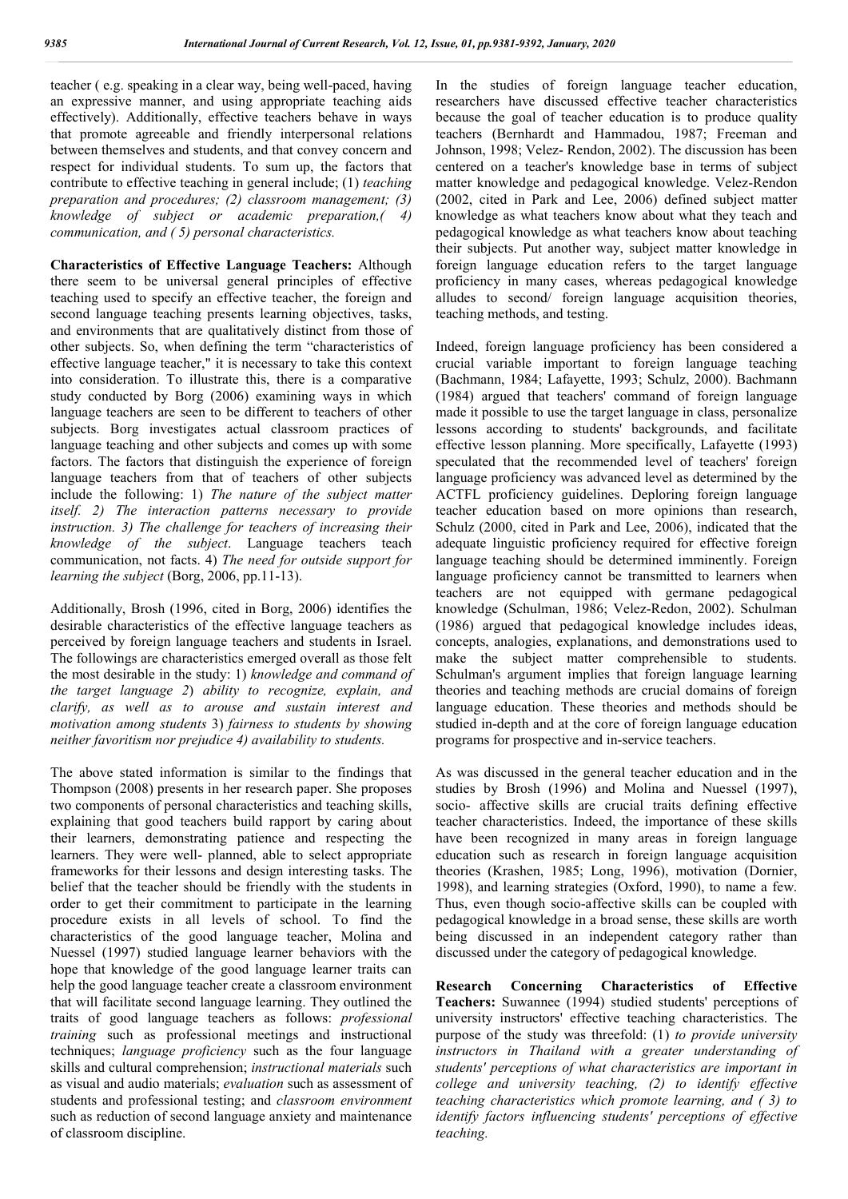teacher ( e.g. speaking in a clear way, being well-paced, having an expressive manner, and using appropriate teaching aids effectively). Additionally, effective teachers behave in ways that promote agreeable and friendly interpersonal relations between themselves and students, and that convey concern and respect for individual students. To sum up, the factors that contribute to effective teaching in general include; (1) *teaching preparation and procedures; (2) classroom management; (3) knowledge of subject or academic preparation,( 4) communication, and ( 5) personal characteristics.*

**Characteristics of Effective Language Teachers:** Although there seem to be universal general principles of effective teaching used to specify an effective teacher, the foreign and second language teaching presents learning objectives, tasks, and environments that are qualitatively distinct from those of other subjects. So, when defining the term "characteristics of effective language teacher," it is necessary to take this context into consideration. To illustrate this, there is a comparative study conducted by Borg (2006) examining ways in which language teachers are seen to be different to teachers of other subjects. Borg investigates actual classroom practices of language teaching and other subjects and comes up with some factors. The factors that distinguish the experience of foreign language teachers from that of teachers of other subjects include the following: 1) *The nature of the subject matter itself. 2) The interaction patterns necessary to provide instruction. 3) The challenge for teachers of increasing their knowledge of the subject*. Language teachers teach communication, not facts. 4) *The need for outside support for learning the subject* (Borg, 2006, pp.11-13).

Additionally, Brosh (1996, cited in Borg, 2006) identifies the desirable characteristics of the effective language teachers as perceived by foreign language teachers and students in Israel. The followings are characteristics emerged overall as those felt the most desirable in the study: 1) *knowledge and command of the target language 2*) *ability to recognize, explain, and clarify, as well as to arouse and sustain interest and motivation among students* 3) *fairness to students by showing neither favoritism nor prejudice 4) availability to students.*

The above stated information is similar to the findings that Thompson (2008) presents in her research paper. She proposes two components of personal characteristics and teaching skills, explaining that good teachers build rapport by caring about their learners, demonstrating patience and respecting the learners. They were well- planned, able to select appropriate frameworks for their lessons and design interesting tasks. The belief that the teacher should be friendly with the students in order to get their commitment to participate in the learning procedure exists in all levels of school. To find the characteristics of the good language teacher, Molina and Nuessel (1997) studied language learner behaviors with the hope that knowledge of the good language learner traits can help the good language teacher create a classroom environment that will facilitate second language learning. They outlined the traits of good language teachers as follows: *professional training* such as professional meetings and instructional techniques; *language proficiency* such as the four language skills and cultural comprehension; *instructional materials* such as visual and audio materials; *evaluation* such as assessment of students and professional testing; and *classroom environment* such as reduction of second language anxiety and maintenance of classroom discipline.

In the studies of foreign language teacher education, researchers have discussed effective teacher characteristics because the goal of teacher education is to produce quality teachers (Bernhardt and Hammadou, 1987; Freeman and Johnson, 1998; Velez- Rendon, 2002). The discussion has been centered on a teacher's knowledge base in terms of subject matter knowledge and pedagogical knowledge. Velez-Rendon (2002, cited in Park and Lee, 2006) defined subject matter knowledge as what teachers know about what they teach and pedagogical knowledge as what teachers know about teaching their subjects. Put another way, subject matter knowledge in foreign language education refers to the target language proficiency in many cases, whereas pedagogical knowledge alludes to second/ foreign language acquisition theories, teaching methods, and testing.

Indeed, foreign language proficiency has been considered a crucial variable important to foreign language teaching (Bachmann, 1984; Lafayette, 1993; Schulz, 2000). Bachmann (1984) argued that teachers' command of foreign language made it possible to use the target language in class, personalize lessons according to students' backgrounds, and facilitate effective lesson planning. More specifically, Lafayette (1993) speculated that the recommended level of teachers' foreign language proficiency was advanced level as determined by the ACTFL proficiency guidelines. Deploring foreign language teacher education based on more opinions than research, Schulz (2000, cited in Park and Lee, 2006), indicated that the adequate linguistic proficiency required for effective foreign language teaching should be determined imminently. Foreign language proficiency cannot be transmitted to learners when teachers are not equipped with germane pedagogical knowledge (Schulman, 1986; Velez-Redon, 2002). Schulman (1986) argued that pedagogical knowledge includes ideas, concepts, analogies, explanations, and demonstrations used to make the subject matter comprehensible to students. Schulman's argument implies that foreign language learning theories and teaching methods are crucial domains of foreign language education. These theories and methods should be studied in-depth and at the core of foreign language education programs for prospective and in-service teachers.

As was discussed in the general teacher education and in the studies by Brosh (1996) and Molina and Nuessel (1997), socio- affective skills are crucial traits defining effective teacher characteristics. Indeed, the importance of these skills have been recognized in many areas in foreign language education such as research in foreign language acquisition theories (Krashen, 1985; Long, 1996), motivation (Dornier, 1998), and learning strategies (Oxford, 1990), to name a few. Thus, even though socio-affective skills can be coupled with pedagogical knowledge in a broad sense, these skills are worth being discussed in an independent category rather than discussed under the category of pedagogical knowledge.

**Research Concerning Characteristics of Effective Teachers:** Suwannee (1994) studied students' perceptions of university instructors' effective teaching characteristics. The purpose of the study was threefold: (1) *to provide university instructors in Thailand with a greater understanding of students' perceptions of what characteristics are important in college and university teaching, (2) to identify effective teaching characteristics which promote learning, and ( 3) to identify factors influencing students' perceptions of effective teaching.*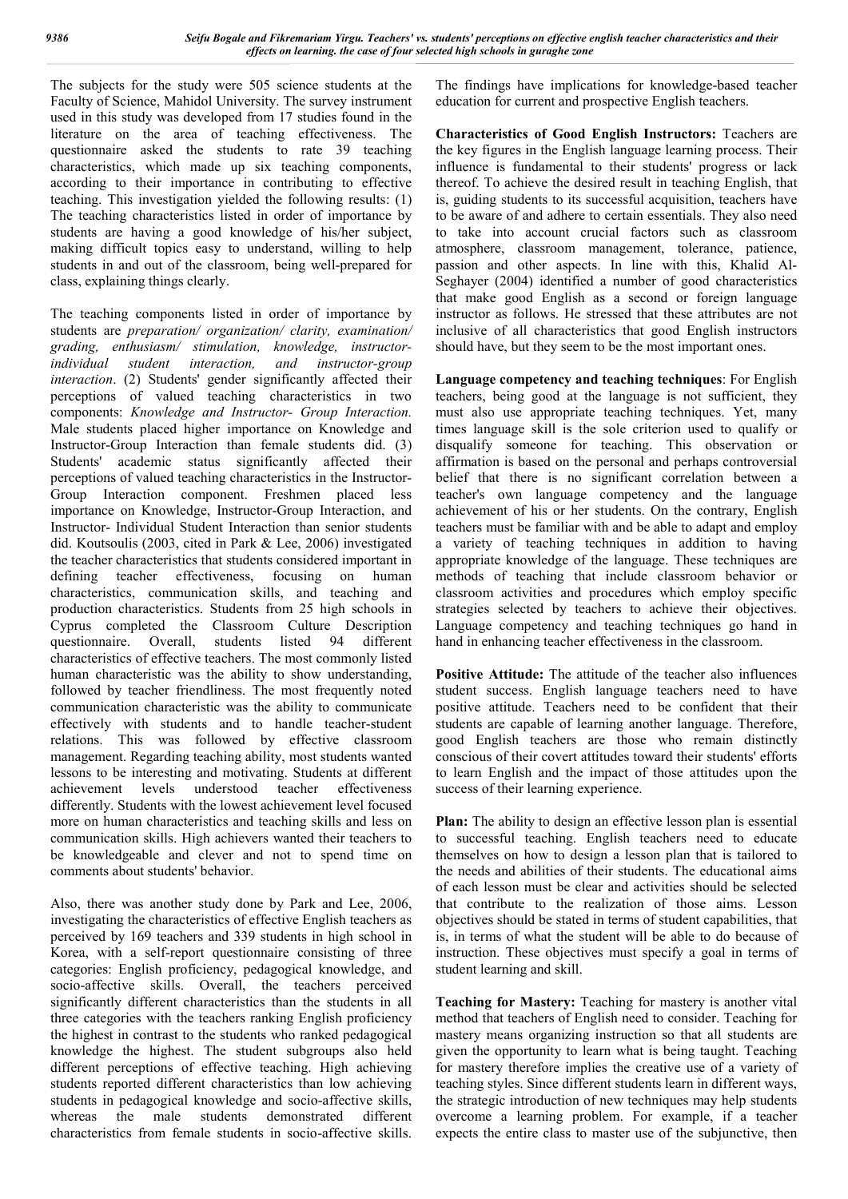The subjects for the study were 505 science students at the Faculty of Science, Mahidol University. The survey instrument used in this study was developed from 17 studies found in the literature on the area of teaching effectiveness. The questionnaire asked the students to rate 39 teaching characteristics, which made up six teaching components, according to their importance in contributing to effective teaching. This investigation yielded the following results: (1) The teaching characteristics listed in order of importance by students are having a good knowledge of his/her subject, making difficult topics easy to understand, willing to help students in and out of the classroom, being well-prepared for class, explaining things clearly.

The teaching components listed in order of importance by students are *preparation/ organization/ clarity, examination/ grading, enthusiasm/ stimulation, knowledge, instructorindividual student interaction, and instructor-group interaction*. (2) Students' gender significantly affected their perceptions of valued teaching characteristics in two components: *Knowledge and Instructor- Group Interaction.* Male students placed higher importance on Knowledge and Instructor-Group Interaction than female students did. (3) Students' academic status significantly affected their perceptions of valued teaching characteristics in the Instructor-Group Interaction component. Freshmen placed less importance on Knowledge, Instructor-Group Interaction, and Instructor- Individual Student Interaction than senior students did. Koutsoulis (2003, cited in Park & Lee, 2006) investigated the teacher characteristics that students considered important in defining teacher effectiveness, focusing on human characteristics, communication skills, and teaching and production characteristics. Students from 25 high schools in Cyprus completed the Classroom Culture Description questionnaire. Overall, students listed 94 characteristics of effective teachers. The most commonly listed human characteristic was the ability to show understanding, followed by teacher friendliness. The most frequently noted communication characteristic was the ability to communicate effectively with students and to handle teacher-student relations. This was followed by effective classroom management. Regarding teaching ability, most students wanted lessons to be interesting and motivating. Students at different achievement levels understood teacher effectiveness differently. Students with the lowest achievement level focused more on human characteristics and teaching skills and less on communication skills. High achievers wanted their teachers to be knowledgeable and clever and not to spend time on comments about students' behavior.

Also, there was another study done by Park and Lee, 2006, investigating the characteristics of effective English teachers as perceived by 169 teachers and 339 students in high school in Korea, with a self-report questionnaire consisting of three categories: English proficiency, pedagogical knowledge, and socio-affective skills. Overall, the teachers perceived significantly different characteristics than the students in all three categories with the teachers ranking English proficiency the highest in contrast to the students who ranked pedagogical knowledge the highest. The student subgroups also held different perceptions of effective teaching. High achieving students reported different characteristics than low achieving students in pedagogical knowledge and socio-affective skills, whereas the male students demonstrated different characteristics from female students in socio-affective skills.

The findings have implications for knowledge-based teacher education for current and prospective English teachers.

**Characteristics of Good English Instructors:** Teachers are the key figures in the English language learning process. Their influence is fundamental to their students' progress or lack thereof. To achieve the desired result in teaching English, that is, guiding students to its successful acquisition, teachers have to be aware of and adhere to certain essentials. They also need to take into account crucial factors such as classroom atmosphere, classroom management, tolerance, patience, passion and other aspects. In line with this, Khalid Al-Seghayer (2004) identified a number of good characteristics that make good English as a second or foreign language instructor as follows. He stressed that these attributes are not inclusive of all characteristics that good English instructors should have, but they seem to be the most important ones.

**Language competency and teaching techniques**: For English teachers, being good at the language is not sufficient, they must also use appropriate teaching techniques. Yet, many times language skill is the sole criterion used to qualify or disqualify someone for teaching. This observation or affirmation is based on the personal and perhaps controversial belief that there is no significant correlation between a teacher's own language competency and the language achievement of his or her students. On the contrary, English teachers must be familiar with and be able to adapt and employ a variety of teaching techniques in addition to having appropriate knowledge of the language. These techniques are methods of teaching that include classroom behavior or classroom activities and procedures which employ specific strategies selected by teachers to achieve their objectives. Language competency and teaching techniques go hand in hand in enhancing teacher effectiveness in the classroom.

**Positive Attitude:** The attitude of the teacher also influences student success. English language teachers need to have positive attitude. Teachers need to be confident that their students are capable of learning another language. Therefore, good English teachers are those who remain distinctly conscious of their covert attitudes toward their students' efforts to learn English and the impact of those attitudes upon the success of their learning experience.

**Plan:** The ability to design an effective lesson plan is essential to successful teaching. English teachers need to educate themselves on how to design a lesson plan that is tailored to the needs and abilities of their students. The educational aims of each lesson must be clear and activities should be selected that contribute to the realization of those aims. Lesson objectives should be stated in terms of student capabilities, that is, in terms of what the student will be able to do because of instruction. These objectives must specify a goal in terms of student learning and skill.

**Teaching for Mastery:** Teaching for mastery is another vital method that teachers of English need to consider. Teaching for mastery means organizing instruction so that all students are given the opportunity to learn what is being taught. Teaching for mastery therefore implies the creative use of a variety of teaching styles. Since different students learn in different ways, the strategic introduction of new techniques may help students overcome a learning problem. For example, if a teacher expects the entire class to master use of the subjunctive, then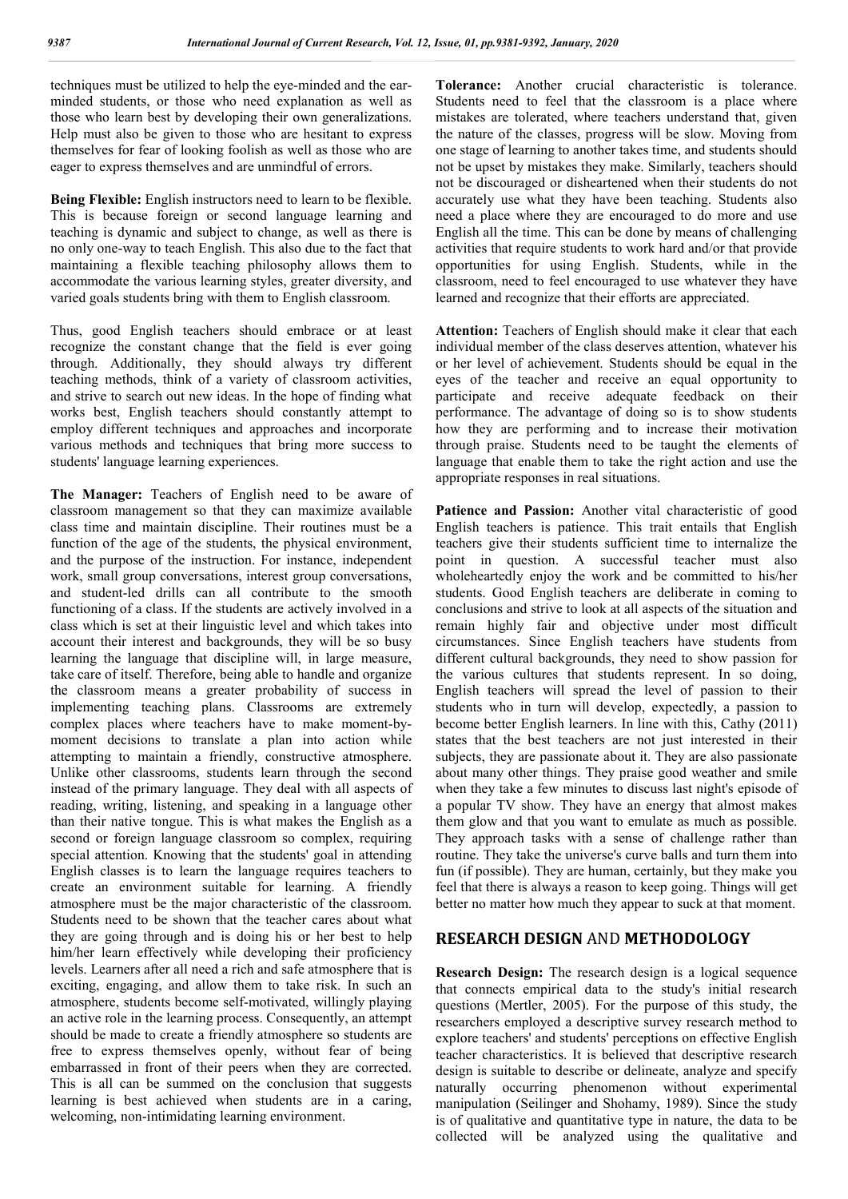techniques must be utilized to help the eye-minded and the earminded students, or those who need explanation as well as those who learn best by developing their own generalizations. Help must also be given to those who are hesitant to express themselves for fear of looking foolish as well as those who are eager to express themselves and are unmindful of errors.

**Being Flexible:** English instructors need to learn to be flexible. This is because foreign or second language learning and teaching is dynamic and subject to change, as well as there is no only one-way to teach English. This also due to the fact that maintaining a flexible teaching philosophy allows them to accommodate the various learning styles, greater diversity, and varied goals students bring with them to English classroom.

Thus, good English teachers should embrace or at least recognize the constant change that the field is ever going through. Additionally, they should always try different teaching methods, think of a variety of classroom activities, and strive to search out new ideas. In the hope of finding what works best, English teachers should constantly attempt to employ different techniques and approaches and incorporate various methods and techniques that bring more success to students' language learning experiences.

**The Manager:** Teachers of English need to be aware of classroom management so that they can maximize available class time and maintain discipline. Their routines must be a function of the age of the students, the physical environment, and the purpose of the instruction. For instance, independent work, small group conversations, interest group conversations, and student-led drills can all contribute to the smooth functioning of a class. If the students are actively involved in a class which is set at their linguistic level and which takes into account their interest and backgrounds, they will be so busy learning the language that discipline will, in large measure, take care of itself. Therefore, being able to handle and organize the classroom means a greater probability of success in implementing teaching plans. Classrooms are extremely complex places where teachers have to make moment-bymoment decisions to translate a plan into action while attempting to maintain a friendly, constructive atmosphere. Unlike other classrooms, students learn through the second instead of the primary language. They deal with all aspects of reading, writing, listening, and speaking in a language other than their native tongue. This is what makes the English as a second or foreign language classroom so complex, requiring special attention. Knowing that the students' goal in attending English classes is to learn the language requires teachers to create an environment suitable for learning. A friendly atmosphere must be the major characteristic of the classroom. Students need to be shown that the teacher cares about what they are going through and is doing his or her best to help him/her learn effectively while developing their proficiency levels. Learners after all need a rich and safe atmosphere that is exciting, engaging, and allow them to take risk. In such an atmosphere, students become self-motivated, willingly playing an active role in the learning process. Consequently, an attempt should be made to create a friendly atmosphere so students are free to express themselves openly, without fear of being embarrassed in front of their peers when they are corrected. This is all can be summed on the conclusion that suggests learning is best achieved when students are in a caring, welcoming, non-intimidating learning environment.

**Tolerance:** Another crucial characteristic is tolerance. Students need to feel that the classroom is a place where mistakes are tolerated, where teachers understand that, given the nature of the classes, progress will be slow. Moving from one stage of learning to another takes time, and students should not be upset by mistakes they make. Similarly, teachers should not be discouraged or disheartened when their students do not accurately use what they have been teaching. Students also need a place where they are encouraged to do more and use English all the time. This can be done by means of challenging activities that require students to work hard and/or that provide opportunities for using English. Students, while in the classroom, need to feel encouraged to use whatever they have learned and recognize that their efforts are appreciated.

**Attention:** Teachers of English should make it clear that each individual member of the class deserves attention, whatever his or her level of achievement. Students should be equal in the eyes of the teacher and receive an equal opportunity to participate and receive adequate feedback on their performance. The advantage of doing so is to show students how they are performing and to increase their motivation through praise. Students need to be taught the elements of language that enable them to take the right action and use the appropriate responses in real situations.

**Patience and Passion:** Another vital characteristic of good English teachers is patience. This trait entails that English teachers give their students sufficient time to internalize the point in question. A successful teacher must also wholeheartedly enjoy the work and be committed to his/her students. Good English teachers are deliberate in coming to conclusions and strive to look at all aspects of the situation and remain highly fair and objective under most difficult circumstances. Since English teachers have students from different cultural backgrounds, they need to show passion for the various cultures that students represent. In so doing, English teachers will spread the level of passion to their students who in turn will develop, expectedly, a passion to become better English learners. In line with this, Cathy (2011) states that the best teachers are not just interested in their subjects, they are passionate about it. They are also passionate about many other things. They praise good weather and smile when they take a few minutes to discuss last night's episode of a popular TV show. They have an energy that almost makes them glow and that you want to emulate as much as possible. They approach tasks with a sense of challenge rather than routine. They take the universe's curve balls and turn them into fun (if possible). They are human, certainly, but they make you feel that there is always a reason to keep going. Things will get better no matter how much they appear to suck at that moment.

### **RESEARCH DESIGN** AND **METHODOLOGY**

**Research Design:** The research design is a logical sequence that connects empirical data to the study's initial research questions (Mertler, 2005). For the purpose of this study, the researchers employed a descriptive survey research method to explore teachers' and students' perceptions on effective English teacher characteristics. It is believed that descriptive research design is suitable to describe or delineate, analyze and specify naturally occurring phenomenon without experimental manipulation (Seilinger and Shohamy, 1989). Since the study is of qualitative and quantitative type in nature, the data to be collected will be analyzed using the qualitative and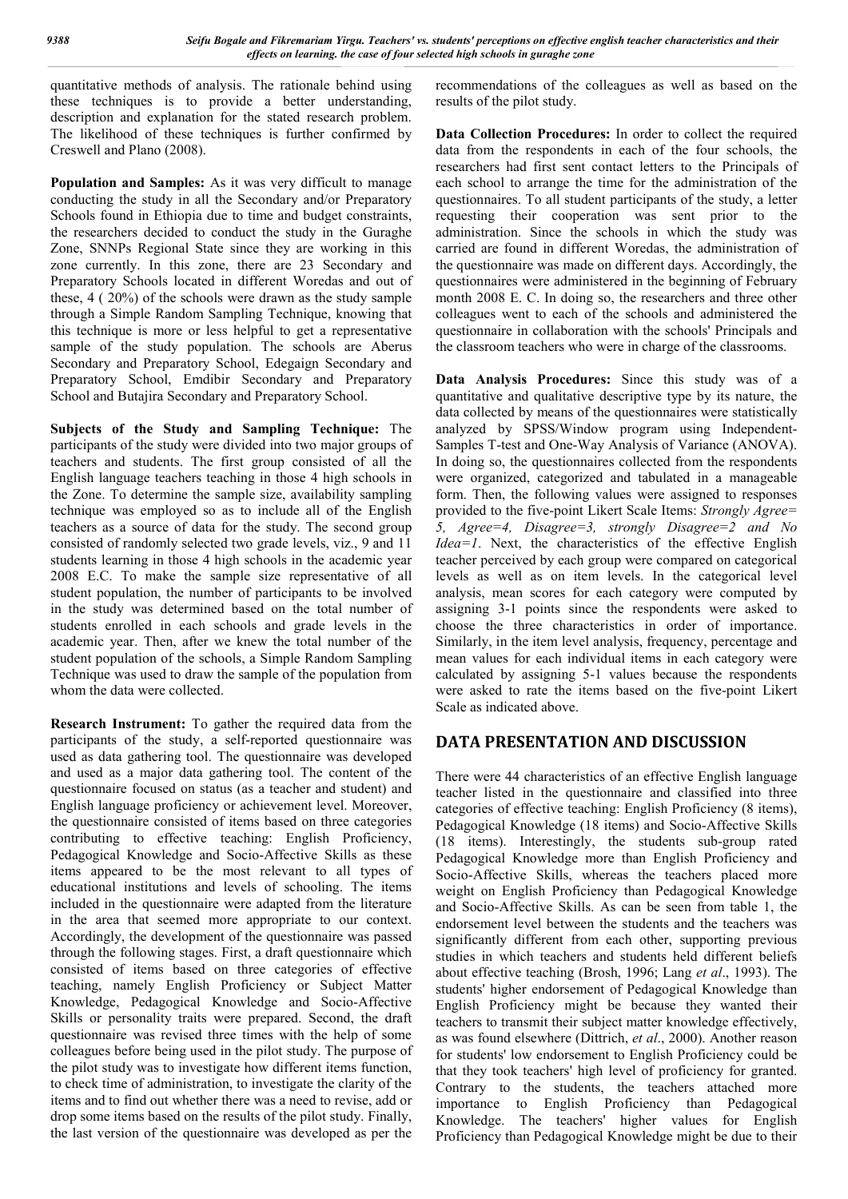quantitative methods of analysis. The rationale behind using these techniques is to provide a better understanding, description and explanation for the stated research problem. The likelihood of these techniques is further confirmed by Creswell and Plano (2008).

**Population and Samples:** As it was very difficult to manage conducting the study in all the Secondary and/or Preparatory Schools found in Ethiopia due to time and budget constraints, the researchers decided to conduct the study in the Guraghe Zone, SNNPs Regional State since they are working in this zone currently. In this zone, there are 23 Secondary and Preparatory Schools located in different Woredas and out of these, 4 ( 20%) of the schools were drawn as the study sample through a Simple Random Sampling Technique, knowing that this technique is more or less helpful to get a representative sample of the study population. The schools are Aberus Secondary and Preparatory School, Edegaign Secondary and Preparatory School, Emdibir Secondary and Preparatory School and Butajira Secondary and Preparatory School.

**Subjects of the Study and Sampling Technique:** The participants of the study were divided into two major groups of teachers and students. The first group consisted of all the English language teachers teaching in those 4 high schools in the Zone. To determine the sample size, availability sampling technique was employed so as to include all of the English teachers as a source of data for the study. The second group consisted of randomly selected two grade levels, viz., 9 and 11 students learning in those 4 high schools in the academic year 2008 E.C. To make the sample size representative of all student population, the number of participants to be involved in the study was determined based on the total number of students enrolled in each schools and grade levels in the academic year. Then, after we knew the total number of the student population of the schools, a Simple Random Sampling Technique was used to draw the sample of the population from whom the data were collected.

**Research Instrument:** To gather the required data from the participants of the study, a self-reported questionnaire was used as data gathering tool. The questionnaire was developed and used as a major data gathering tool. The content of the questionnaire focused on status (as a teacher and student) and English language proficiency or achievement level. Moreover, the questionnaire consisted of items based on three categories contributing to effective teaching: English Proficiency, Pedagogical Knowledge and Socio-Affective Skills as these items appeared to be the most relevant to all types of educational institutions and levels of schooling. The items included in the questionnaire were adapted from the literature in the area that seemed more appropriate to our context. Accordingly, the development of the questionnaire was passed through the following stages. First, a draft questionnaire which consisted of items based on three categories of effective teaching, namely English Proficiency or Subject Matter Knowledge, Pedagogical Knowledge and Socio-Affective Skills or personality traits were prepared. Second, the draft questionnaire was revised three times with the help of some colleagues before being used in the pilot study. The purpose of the pilot study was to investigate how different items function, to check time of administration, to investigate the clarity of the items and to find out whether there was a need to revise, add or drop some items based on the results of the pilot study. Finally, the last version of the questionnaire was developed as per the

recommendations of the colleagues as well as based on the results of the pilot study.

**Data Collection Procedures:** In order to collect the required data from the respondents in each of the four schools, the researchers had first sent contact letters to the Principals of each school to arrange the time for the administration of the questionnaires. To all student participants of the study, a letter requesting their cooperation was sent prior to the administration. Since the schools in which the study was carried are found in different Woredas, the administration of the questionnaire was made on different days. Accordingly, the questionnaires were administered in the beginning of February month 2008 E. C. In doing so, the researchers and three other colleagues went to each of the schools and administered the questionnaire in collaboration with the schools' Principals and the classroom teachers who were in charge of the classrooms.

**Data Analysis Procedures:** Since this study was of a quantitative and qualitative descriptive type by its nature, the data collected by means of the questionnaires were statistically analyzed by SPSS/Window program using Independent-Samples T-test and One-Way Analysis of Variance (ANOVA). In doing so, the questionnaires collected from the respondents were organized, categorized and tabulated in a manageable form. Then, the following values were assigned to responses provided to the five-point Likert Scale Items: *Strongly Agree= 5, Agree=4, Disagree=3, strongly Disagree=2 and No Idea=1*. Next, the characteristics of the effective English teacher perceived by each group were compared on categorical levels as well as on item levels. In the categorical level analysis, mean scores for each category were computed by assigning 3-1 points since the respondents were asked to choose the three characteristics in order of importance. Similarly, in the item level analysis, frequency, percentage and mean values for each individual items in each category were calculated by assigning 5-1 values because the respondents were asked to rate the items based on the five-point Likert Scale as indicated above.

## **DATA PRESENTATION AND DISCUSSION**

There were 44 characteristics of an effective English language teacher listed in the questionnaire and classified into three categories of effective teaching: English Proficiency (8 items), Pedagogical Knowledge (18 items) and Socio-Affective Skills (18 items). Interestingly, the students sub-group rated Pedagogical Knowledge more than English Proficiency and Socio-Affective Skills, whereas the teachers placed more weight on English Proficiency than Pedagogical Knowledge and Socio-Affective Skills. As can be seen from table 1, the endorsement level between the students and the teachers was significantly different from each other, supporting previous studies in which teachers and students held different beliefs about effective teaching (Brosh, 1996; Lang *et al*., 1993). The students' higher endorsement of Pedagogical Knowledge than English Proficiency might be because they wanted their teachers to transmit their subject matter knowledge effectively, as was found elsewhere (Dittrich, *et al*., 2000). Another reason for students' low endorsement to English Proficiency could be that they took teachers' high level of proficiency for granted. Contrary to the students, the teachers attached more importance to English Proficiency than Pedagogical Knowledge. The teachers' higher values for English Proficiency than Pedagogical Knowledge might be due to their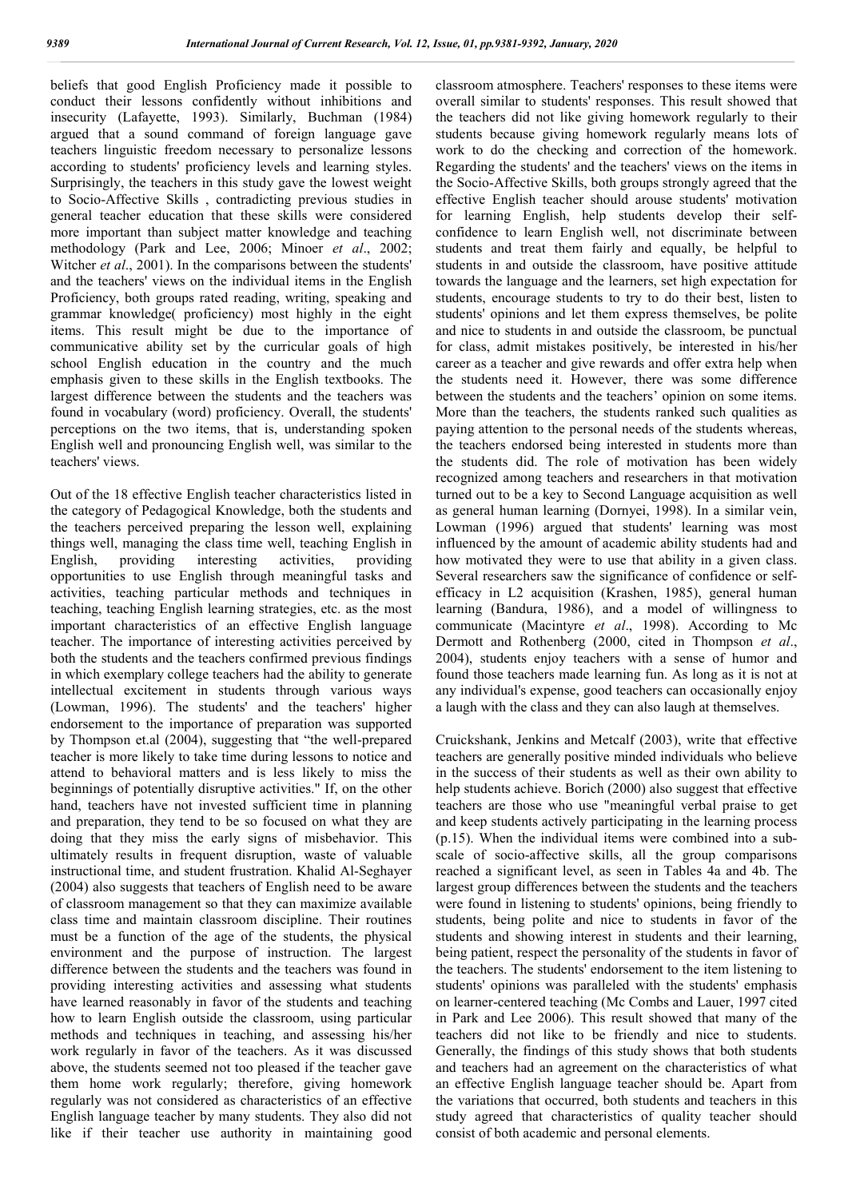beliefs that good English Proficiency made it possible to conduct their lessons confidently without inhibitions and insecurity (Lafayette, 1993). Similarly, Buchman (1984) argued that a sound command of foreign language gave teachers linguistic freedom necessary to personalize lessons according to students' proficiency levels and learning styles. Surprisingly, the teachers in this study gave the lowest weight to Socio-Affective Skills , contradicting previous studies in general teacher education that these skills were considered more important than subject matter knowledge and teaching methodology (Park and Lee, 2006; Minoer *et al*., 2002; Witcher *et al*., 2001). In the comparisons between the students' and the teachers' views on the individual items in the English Proficiency, both groups rated reading, writing, speaking and grammar knowledge( proficiency) most highly in the eight items. This result might be due to the importance of communicative ability set by the curricular goals of high school English education in the country and the much emphasis given to these skills in the English textbooks. The largest difference between the students and the teachers was found in vocabulary (word) proficiency. Overall, the students' perceptions on the two items, that is, understanding spoken English well and pronouncing English well, was similar to the teachers' views.

Out of the 18 effective English teacher characteristics listed in the category of Pedagogical Knowledge, both the students and the teachers perceived preparing the lesson well, explaining things well, managing the class time well, teaching English in English, providing interesting activities, providing English, providing interesting activities, providing opportunities to use English through meaningful tasks and activities, teaching particular methods and techniques in teaching, teaching English learning strategies, etc. as the most important characteristics of an effective English language teacher. The importance of interesting activities perceived by both the students and the teachers confirmed previous findings in which exemplary college teachers had the ability to generate intellectual excitement in students through various ways (Lowman, 1996). The students' and the teachers' higher endorsement to the importance of preparation was supported by Thompson et.al (2004), suggesting that "the well-prepared teacher is more likely to take time during lessons to notice and attend to behavioral matters and is less likely to miss the beginnings of potentially disruptive activities." If, on the other hand, teachers have not invested sufficient time in planning and preparation, they tend to be so focused on what they are doing that they miss the early signs of misbehavior. This ultimately results in frequent disruption, waste of valuable instructional time, and student frustration. Khalid Al-Seghayer (2004) also suggests that teachers of English need to be aware of classroom management so that they can maximize available class time and maintain classroom discipline. Their routines must be a function of the age of the students, the physical environment and the purpose of instruction. The largest difference between the students and the teachers was found in providing interesting activities and assessing what students have learned reasonably in favor of the students and teaching how to learn English outside the classroom, using particular methods and techniques in teaching, and assessing his/her work regularly in favor of the teachers. As it was discussed above, the students seemed not too pleased if the teacher gave them home work regularly; therefore, giving homework regularly was not considered as characteristics of an effective English language teacher by many students. They also did not like if their teacher use authority in maintaining good

classroom atmosphere. Teachers' responses to these items were overall similar to students' responses. This result showed that the teachers did not like giving homework regularly to their students because giving homework regularly means lots of work to do the checking and correction of the homework. Regarding the students' and the teachers' views on the items in the Socio-Affective Skills, both groups strongly agreed that the effective English teacher should arouse students' motivation for learning English, help students develop their selfconfidence to learn English well, not discriminate between students and treat them fairly and equally, be helpful to students in and outside the classroom, have positive attitude towards the language and the learners, set high expectation for students, encourage students to try to do their best, listen to students' opinions and let them express themselves, be polite and nice to students in and outside the classroom, be punctual for class, admit mistakes positively, be interested in his/her career as a teacher and give rewards and offer extra help when the students need it. However, there was some difference between the students and the teachers' opinion on some items. More than the teachers, the students ranked such qualities as paying attention to the personal needs of the students whereas, the teachers endorsed being interested in students more than the students did. The role of motivation has been widely recognized among teachers and researchers in that motivation turned out to be a key to Second Language acquisition as well as general human learning (Dornyei, 1998). In a similar vein, Lowman (1996) argued that students' learning was most influenced by the amount of academic ability students had and how motivated they were to use that ability in a given class. Several researchers saw the significance of confidence or selfefficacy in L2 acquisition (Krashen, 1985), general human learning (Bandura, 1986), and a model of willingness to communicate (Macintyre *et al*., 1998). According to Mc Dermott and Rothenberg (2000, cited in Thompson *et al*., 2004), students enjoy teachers with a sense of humor and found those teachers made learning fun. As long as it is not at any individual's expense, good teachers can occasionally enjoy a laugh with the class and they can also laugh at themselves.

Cruickshank, Jenkins and Metcalf (2003), write that effective teachers are generally positive minded individuals who believe in the success of their students as well as their own ability to help students achieve. Borich (2000) also suggest that effective teachers are those who use "meaningful verbal praise to get and keep students actively participating in the learning process (p.15). When the individual items were combined into a subscale of socio-affective skills, all the group comparisons reached a significant level, as seen in Tables 4a and 4b. The largest group differences between the students and the teachers were found in listening to students' opinions, being friendly to students, being polite and nice to students in favor of the students and showing interest in students and their learning, being patient, respect the personality of the students in favor of the teachers. The students' endorsement to the item listening to students' opinions was paralleled with the students' emphasis on learner-centered teaching (Mc Combs and Lauer, 1997 cited in Park and Lee 2006). This result showed that many of the teachers did not like to be friendly and nice to students. Generally, the findings of this study shows that both students and teachers had an agreement on the characteristics of what an effective English language teacher should be. Apart from the variations that occurred, both students and teachers in this study agreed that characteristics of quality teacher should consist of both academic and personal elements.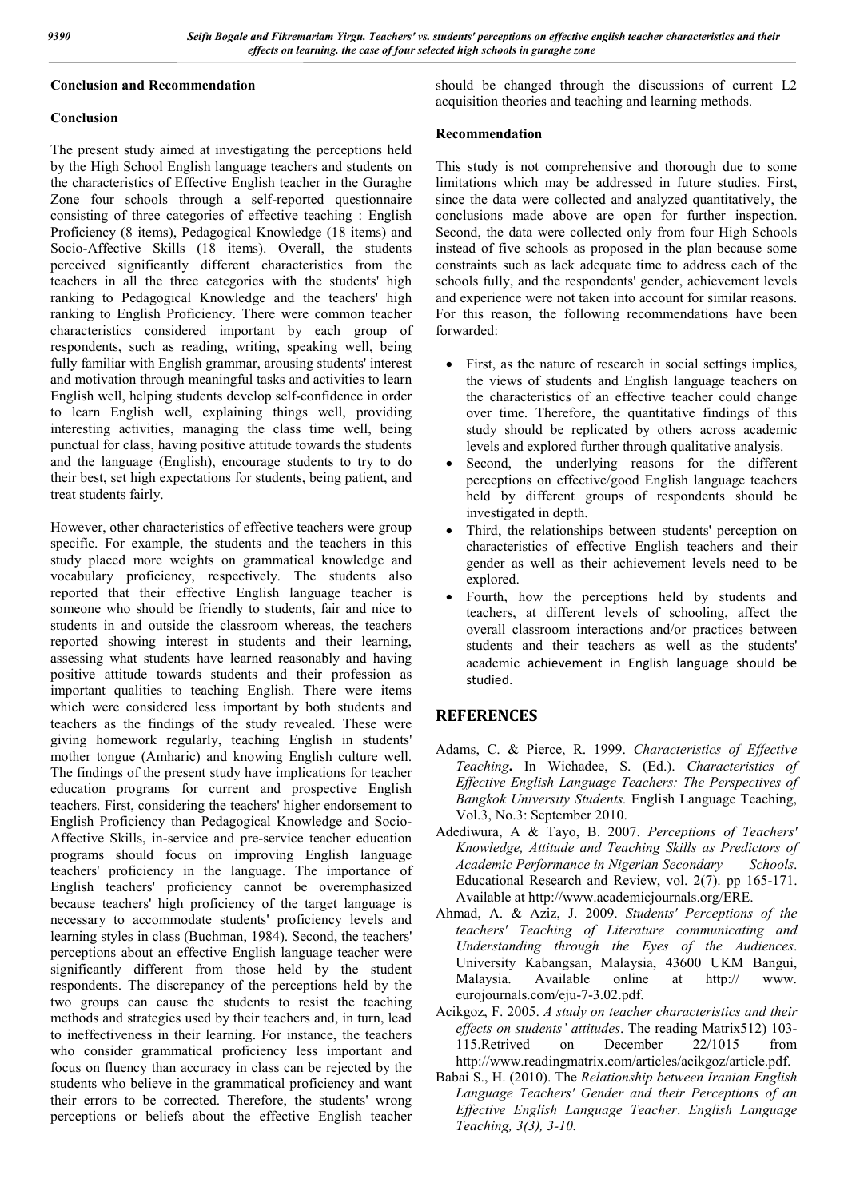#### **Conclusion and Recommendation**

### **Conclusion**

The present study aimed at investigating the perceptions held by the High School English language teachers and students on the characteristics of Effective English teacher in the Guraghe Zone four schools through a self-reported questionnaire consisting of three categories of effective teaching : English Proficiency (8 items), Pedagogical Knowledge (18 items) and Socio-Affective Skills (18 items). Overall, the students perceived significantly different characteristics from the teachers in all the three categories with the students' high ranking to Pedagogical Knowledge and the teachers' high ranking to English Proficiency. There were common teacher characteristics considered important by each group of respondents, such as reading, writing, speaking well, being fully familiar with English grammar, arousing students' interest and motivation through meaningful tasks and activities to learn English well, helping students develop self-confidence in order to learn English well, explaining things well, providing interesting activities, managing the class time well, being punctual for class, having positive attitude towards the students and the language (English), encourage students to try to do their best, set high expectations for students, being patient, and treat students fairly.

However, other characteristics of effective teachers were group specific. For example, the students and the teachers in this study placed more weights on grammatical knowledge and vocabulary proficiency, respectively. The students also reported that their effective English language teacher is someone who should be friendly to students, fair and nice to students in and outside the classroom whereas, the teachers reported showing interest in students and their learning, assessing what students have learned reasonably and having positive attitude towards students and their profession as important qualities to teaching English. There were items which were considered less important by both students and teachers as the findings of the study revealed. These were giving homework regularly, teaching English in students' mother tongue (Amharic) and knowing English culture well. The findings of the present study have implications for teacher education programs for current and prospective English teachers. First, considering the teachers' higher endorsement to English Proficiency than Pedagogical Knowledge and Socio-Affective Skills, in-service and pre-service teacher education programs should focus on improving English language teachers' proficiency in the language. The importance of English teachers' proficiency cannot be overemphasized because teachers' high proficiency of the target language is necessary to accommodate students' proficiency levels and learning styles in class (Buchman, 1984). Second, the teachers' perceptions about an effective English language teacher were significantly different from those held by the student respondents. The discrepancy of the perceptions held by the two groups can cause the students to resist the teaching methods and strategies used by their teachers and, in turn, lead to ineffectiveness in their learning. For instance, the teachers who consider grammatical proficiency less important and focus on fluency than accuracy in class can be rejected by the students who believe in the grammatical proficiency and want their errors to be corrected. Therefore, the students' wrong perceptions or beliefs about the effective English teacher should be changed through the discussions of current L2 acquisition theories and teaching and learning methods.

#### **Recommendation**

This study is not comprehensive and thorough due to some limitations which may be addressed in future studies. First, since the data were collected and analyzed quantitatively, the conclusions made above are open for further inspection. Second, the data were collected only from four High Schools instead of five schools as proposed in the plan because some constraints such as lack adequate time to address each of the schools fully, and the respondents' gender, achievement levels and experience were not taken into account for similar reasons. For this reason, the following recommendations have been forwarded:

- First, as the nature of research in social settings implies, the views of students and English language teachers on the characteristics of an effective teacher could change over time. Therefore, the quantitative findings of this study should be replicated by others across academic levels and explored further through qualitative analysis.
- Second, the underlying reasons for the different perceptions on effective/good English language teachers held by different groups of respondents should be investigated in depth.
- Third, the relationships between students' perception on characteristics of effective English teachers and their gender as well as their achievement levels need to be explored.
- Fourth, how the perceptions held by students and teachers, at different levels of schooling, affect the overall classroom interactions and/or practices between students and their teachers as well as the students' academic achievement in English language should be studied.

# **REFERENCES**

- Adams, C. & Pierce, R. 1999. *Characteristics of Effective Teaching***.** In Wichadee, S. (Ed.). *Characteristics of Effective English Language Teachers: The Perspectives of Bangkok University Students.* English Language Teaching, Vol.3, No.3: September 2010.
- Adediwura, A & Tayo, B. 2007. *Perceptions of Teachers' Knowledge, Attitude and Teaching Skills as Predictors of Academic Performance in Nigerian Secondary Schools*. Educational Research and Review, vol. 2(7). pp 165-171. Available at http://www.academicjournals.org/ERE.
- Ahmad, A. & Aziz, J. 2009. *Students' Perceptions of the teachers' Teaching of Literature communicating and Understanding through the Eyes of the Audiences*. University Kabangsan, Malaysia, 43600 UKM Bangui, Malaysia. Available online at http:// www. eurojournals.com/eju-7-3.02.pdf.
- Acikgoz, F. 2005. *A study on teacher characteristics and their effects on students' attitudes*. The reading Matrix512) 103- 115.Retrived on December 22/1015 from http://www.readingmatrix.com/articles/acikgoz/article.pdf.
- Babai S., H. (2010). The *Relationship between Iranian English Language Teachers' Gender and their Perceptions of an Effective English Language Teacher*. *English Language Teaching, 3(3), 3-10.*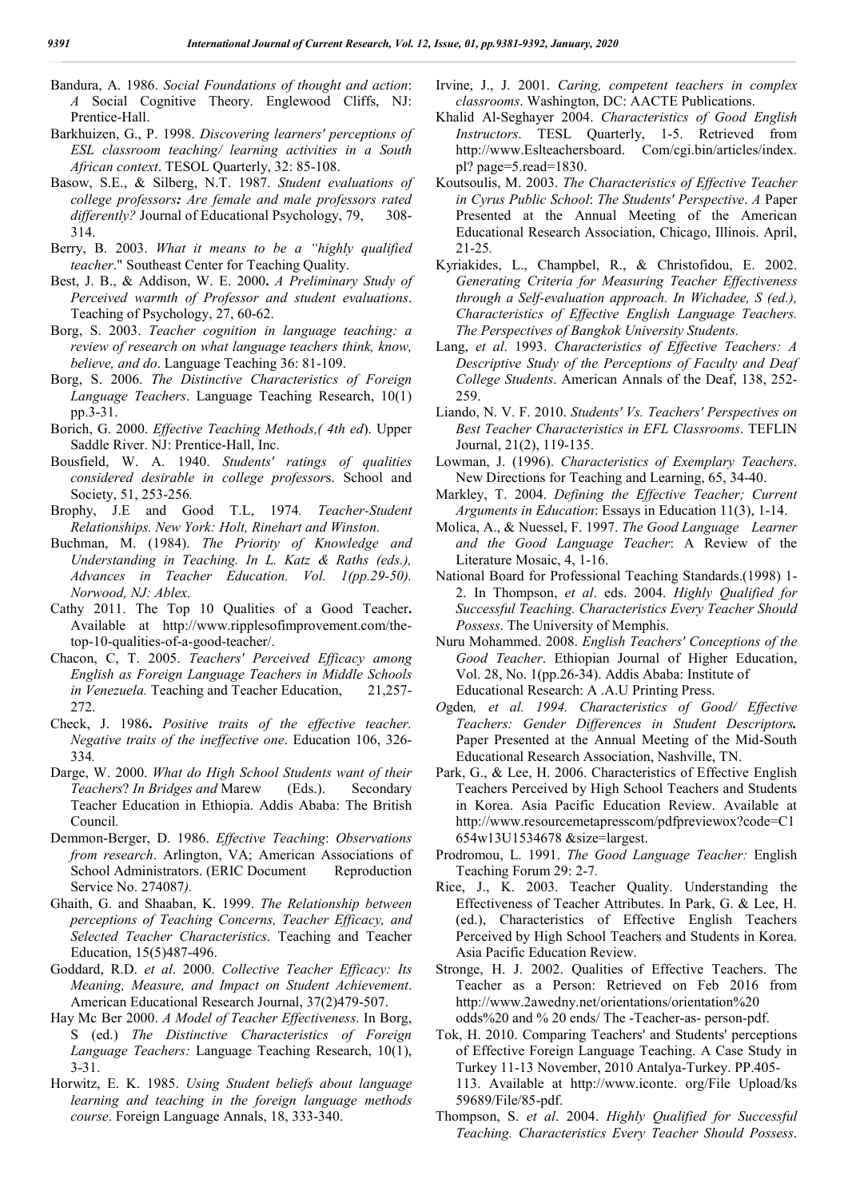- Bandura, A. 1986. *Social Foundations of thought and action*: *A* Social Cognitive Theory. Englewood Cliffs, NJ: Prentice-Hall.
- Barkhuizen, G., P. 1998. *Discovering learners' perceptions of ESL classroom teaching/ learning activities in a South African context*. TESOL Quarterly, 32: 85-108.
- Basow, S.E., & Silberg, N.T. 1987. *Student evaluations of college professors: Are female and male professors rated*  differently? Journal of Educational Psychology, 79, 308-314.
- Berry, B. 2003. *What it means to be a "highly qualified teacher*." Southeast Center for Teaching Quality.
- Best, J. B., & Addison, W. E. 2000**.** *A Preliminary Study of Perceived warmth of Professor and student evaluations*. Teaching of Psychology, 27, 60-62.
- Borg, S. 2003. *Teacher cognition in language teaching: a review of research on what language teachers think, know, believe, and do*. Language Teaching 36: 81-109.
- Borg, S. 2006. *The Distinctive Characteristics of Foreign Language Teachers*. Language Teaching Research, 10(1) pp.3-31.
- Borich, G. 2000. *Effective Teaching Methods,( 4th ed*). Upper Saddle River. NJ: Prentice-Hall, Inc.
- Bousfield, W. A. 1940. *Students' ratings of qualities considered desirable in college professor*s. School and Society, 51, 253-256*.*
- Brophy, J.E and Good T.L, 1974*. Teacher-Student Relationships. New York: Holt, Rinehart and Winston.*
- Buchman, M. (1984). *The Priority of Knowledge and Understanding in Teaching. In L. Katz & Raths (eds.), Advances in Teacher Education. Vol. 1(pp.29-50). Norwood, NJ: Ablex.*
- Cathy 2011. The Top 10 Qualities of a Good Teacher**.** Available at http://www.ripplesofimprovement.com/thetop-10-qualities-of-a-good-teacher/.
- Chacon, C, T. 2005. *Teachers' Perceived Efficacy among English as Foreign Language Teachers in Middle Schools in Venezuela.* Teaching and Teacher Education, 21,257- 272.
- Check, J. 1986**.** *Positive traits of the effective teacher. Negative traits of the ineffective one*. Education 106, 326- 334*.*
- Darge, W. 2000. *What do High School Students want of their Teachers*? *In Bridges and* Marew (Eds.). Secondary Teacher Education in Ethiopia. Addis Ababa: The British Council*.*
- Demmon-Berger, D. 1986. *Effective Teaching*: *Observations from research*. Arlington, VA; American Associations of School Administrators. (ERIC Document Reproduction Service No. 274087*).*
- Ghaith, G. and Shaaban, K. 1999. *The Relationship between perceptions of Teaching Concerns, Teacher Efficacy, and Selected Teacher Characteristics*. Teaching and Teacher Education, 15(5)487-496.
- Goddard, R.D. *et al*. 2000. *Collective Teacher Efficacy: Its Meaning, Measure, and Impact on Student Achievement*. American Educational Research Journal, 37(2)479-507.
- Hay Mc Ber 2000. *A Model of Teacher Effectiveness*. In Borg, S (ed.) *The Distinctive Characteristics of Foreign Language Teachers:* Language Teaching Research, 10(1), 3-31.
- Horwitz, E. K. 1985. *Using Student beliefs about language learning and teaching in the foreign language methods course*. Foreign Language Annals, 18, 333-340.
- Irvine, J., J. 2001. *Caring, competent teachers in complex classrooms*. Washington, DC: AACTE Publications.
- Khalid Al-Seghayer 2004. *Characteristics of Good English Instructors*. TESL Quarterly, 1-5. Retrieved from http://www.Eslteachersboard. Com/cgi.bin/articles/index. pl? page=5.read=1830.
- Koutsoulis, M. 2003. *The Characteristics of Effective Teacher in Cyrus Public School*: *The Students' Perspective*. *A* Paper Presented at the Annual Meeting of the American Educational Research Association, Chicago, Illinois. April, 21-25*.*
- Kyriakides, L., Champbel, R., & Christofidou, E. 2002. *Generating Criteria for Measuring Teacher Effectiveness through a Self-evaluation approach. In Wichadee, S (ed.), Characteristics of Effective English Language Teachers. The Perspectives of Bangkok University Students.*
- Lang, *et al*. 1993. *Characteristics of Effective Teachers: A Descriptive Study of the Perceptions of Faculty and Deaf College Students*. American Annals of the Deaf, 138, 252- 259.
- Liando, N. V. F. 2010. *Students' Vs. Teachers' Perspectives on Best Teacher Characteristics in EFL Classrooms*. TEFLIN Journal, 21(2), 119-135.
- Lowman, J. (1996). *Characteristics of Exemplary Teachers*. New Directions for Teaching and Learning, 65, 34-40.
- Markley, T. 2004. *Defining the Effective Teacher; Current Arguments in Education*: Essays in Education 11(3), 1-14.
- Molica, A., & Nuessel, F. 1997. *The Good Language Learner and the Good Language Teacher*: A Review of the Literature Mosaic, 4, 1-16.
- National Board for Professional Teaching Standards.(1998) 1- 2. In Thompson, *et al*. eds. 2004. *Highly Qualified for Successful Teaching. Characteristics Every Teacher Should Possess*. The University of Memphis.
- Nuru Mohammed. 2008. *English Teachers' Conceptions of the Good Teacher*. Ethiopian Journal of Higher Education, Vol. 28, No. 1(pp.26-34). Addis Ababa: Institute of Educational Research: A .A.U Printing Press.
- *O*gden*, et al. 1994. Characteristics of Good/ Effective Teachers: Gender Differences in Student Descriptors.* Paper Presented at the Annual Meeting of the Mid-South Educational Research Association, Nashville, TN.
- Park, G., & Lee, H. 2006. Characteristics of Effective English Teachers Perceived by High School Teachers and Students in Korea. Asia Pacific Education Review. Available at http://www.resourcemetapresscom/pdfpreviewox?code=C1 654w13U1534678 &size=largest.
- Prodromou, L. 1991. *The Good Language Teacher:* English Teaching Forum 29: 2-7*.*
- Rice, J., K. 2003. Teacher Quality. Understanding the Effectiveness of Teacher Attributes. In Park, G. & Lee, H. (ed.), Characteristics of Effective English Teachers Perceived by High School Teachers and Students in Korea. Asia Pacific Education Review.
- Stronge, H. J. 2002. Qualities of Effective Teachers. The Teacher as a Person: Retrieved on Feb 2016 from http://www.2awedny.net/orientations/orientation%20 odds%20 and % 20 ends/ The -Teacher-as- person-pdf.
- Tok, H. 2010. Comparing Teachers' and Students' perceptions of Effective Foreign Language Teaching. A Case Study in Turkey 11-13 November, 2010 Antalya-Turkey. PP.405- 113. Available at http://www.iconte. org/File Upload/ks 59689/File/85-pdf.
- Thompson, S. *et al*. 2004. *Highly Qualified for Successful Teaching. Characteristics Every Teacher Should Possess*.